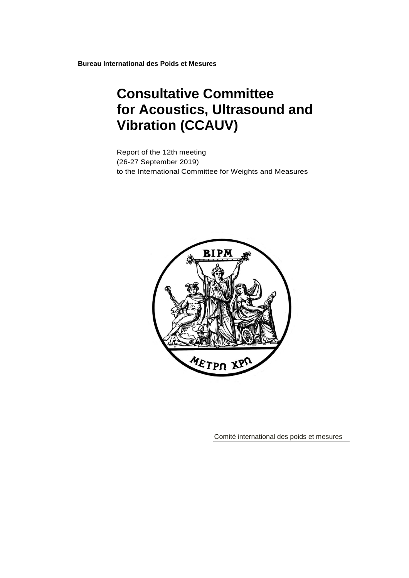**Bureau International des Poids et Mesures**

# **Consultative Committee for Acoustics, Ultrasound and Vibration (CCAUV)**

Report of the 12th meeting (26-27 September 2019) to the International Committee for Weights and Measures



Comité international des poids et mesures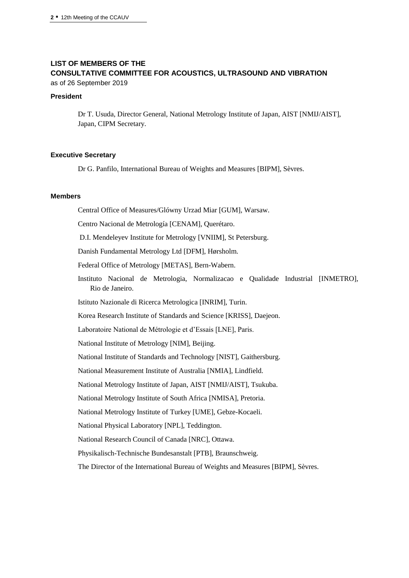# **LIST OF MEMBERS OF THE CONSULTATIVE COMMITTEE FOR ACOUSTICS, ULTRASOUND AND VIBRATION**

as of 26 September 2019

#### **President**

Dr T. Usuda, Director General, National Metrology Institute of Japan, AIST [NMIJ/AIST], Japan, CIPM Secretary.

#### **Executive Secretary**

Dr G. Panfilo, International Bureau of Weights and Measures [BIPM], Sèvres.

#### **Members**

Central Office of Measures/Glówny Urzad Miar [GUM], Warsaw.

Centro Nacional de Metrología [CENAM], Querétaro.

D.I. Mendeleyev Institute for Metrology [VNIIM], St Petersburg.

Danish Fundamental Metrology Ltd [DFM], Hørsholm.

Federal Office of Metrology [METAS], Bern-Wabern.

Instituto Nacional de Metrologia, Normalizacao e Qualidade Industrial [INMETRO], Rio de Janeiro.

Istituto Nazionale di Ricerca Metrologica [INRIM], Turin.

Korea Research Institute of Standards and Science [KRISS], Daejeon.

Laboratoire National de Métrologie et d'Essais [LNE], Paris.

National Institute of Metrology [NIM], Beijing.

National Institute of Standards and Technology [NIST], Gaithersburg.

National Measurement Institute of Australia [NMIA], Lindfield.

National Metrology Institute of Japan, AIST [NMIJ/AIST], Tsukuba.

National Metrology Institute of South Africa [NMISA], Pretoria.

National Metrology Institute of Turkey [UME], Gebze-Kocaeli.

National Physical Laboratory [NPL], Teddington.

National Research Council of Canada [NRC], Ottawa.

Physikalisch-Technische Bundesanstalt [PTB], Braunschweig.

The Director of the International Bureau of Weights and Measures [BIPM], Sèvres.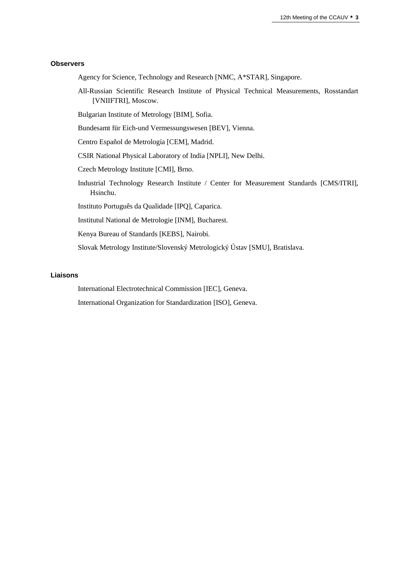#### **Observers**

- Agency for Science, Technology and Research [NMC, A\*STAR], Singapore.
- All-Russian Scientific Research Institute of Physical Technical Measurements, Rosstandart [VNIIFTRI], Moscow.
- Bulgarian Institute of Metrology [BIM], Sofia.
- Bundesamt für Eich-und Vermessungswesen [BEV], Vienna.
- Centro Español de Metrología [CEM], Madrid.
- CSIR National Physical Laboratory of India [NPLI], New Delhi.
- Czech Metrology Institute [CMI], Brno.
- Industrial Technology Research Institute / Center for Measurement Standards [CMS/ITRI], Hsinchu.
- Instituto Português da Qualidade [IPQ], Caparica.
- Institutul National de Metrologie [INM], Bucharest.
- Kenya Bureau of Standards [\[KEBS\]](http://www.kebs.org/), Nairobi.
- Slovak Metrology Institute/Slovenský Metrologický Ústav [SMU], Bratislava.

#### **Liaisons**

International Electrotechnical Commission [IEC], Geneva.

International Organization for Standardization [ISO], Geneva.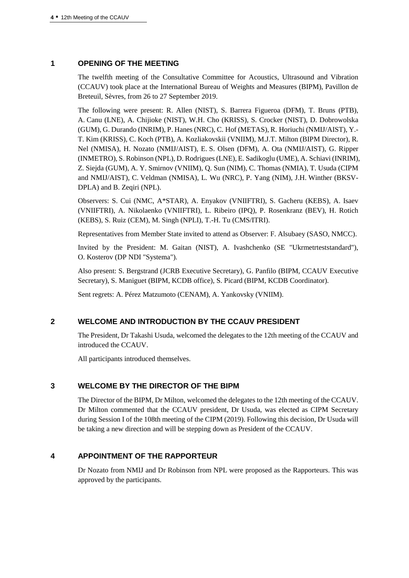## **1 OPENING OF THE MEETING**

The twelfth meeting of the Consultative Committee for Acoustics, Ultrasound and Vibration (CCAUV) took place at the International Bureau of Weights and Measures (BIPM), Pavillon de Breteuil, Sèvres, from 26 to 27 September 2019.

The following were present: R. Allen (NIST), S. Barrera Figueroa (DFM), T. Bruns (PTB), A. Canu (LNE), A. Chijioke (NIST), W.H. Cho (KRISS), S. Crocker (NIST), D. Dobrowolska (GUM), G. Durando (INRIM), P. Hanes (NRC), C. Hof (METAS), R. Horiuchi (NMIJ/AIST), Y.- T. Kim (KRISS), C. Koch (PTB), A. Kozliakovskii (VNIIM), M.J.T. Milton (BIPM Director), R. Nel (NMISA), H. Nozato (NMIJ/AIST), E. S. Olsen (DFM), A. Ota (NMIJ/AIST), G. Ripper (INMETRO), S. Robinson (NPL), D. Rodrigues(LNE), E. Sadikoglu (UME), A. Schiavi (INRIM), Z. Siejda (GUM), A. Y. Smirnov (VNIIM), Q. Sun (NIM), C. Thomas (NMIA), T. Usuda (CIPM and NMIJ/AIST), C. Veldman (NMISA), L. Wu (NRC), P. Yang (NIM), J.H. Winther (BKSV-DPLA) and B. Zeqiri (NPL).

Observers: S. Cui (NMC, A\*STAR), A. Enyakov (VNIIFTRI), S. Gacheru (KEBS), A. Isaev (VNIIFTRI), A. Nikolaenko (VNIIFTRI), L. Ribeiro (IPQ), P. Rosenkranz (BEV), H. Rotich (KEBS), S. Ruiz (CEM), M. Singh (NPLI), T.-H. Tu (CMS/ITRI).

Representatives from Member State invited to attend as Observer: F. Alsubaey (SASO, NMCC).

Invited by the President: M. Gaitan (NIST), A. Ivashchenko (SE "Ukrmetrteststandard"), O. Kosterov (DP NDI "Systema").

Also present: S. Bergstrand (JCRB Executive Secretary), G. Panfilo (BIPM, CCAUV Executive Secretary), S. Maniguet (BIPM, KCDB office), S. Picard (BIPM, KCDB Coordinator).

Sent regrets: A. Pérez Matzumoto (CENAM), A. Yankovsky (VNIIM).

# **2 WELCOME AND INTRODUCTION BY THE CCAUV PRESIDENT**

The President, Dr Takashi Usuda, welcomed the delegates to the 12th meeting of the CCAUV and introduced the CCAUV.

All participants introduced themselves.

# **3 WELCOME BY THE DIRECTOR OF THE BIPM**

The Director of the BIPM, Dr Milton, welcomed the delegates to the 12th meeting of the CCAUV. Dr Milton commented that the CCAUV president, Dr Usuda, was elected as CIPM Secretary during Session I of the 108th meeting of the CIPM (2019). Following this decision, Dr Usuda will be taking a new direction and will be stepping down as President of the CCAUV.

# **4 APPOINTMENT OF THE RAPPORTEUR**

Dr Nozato from NMIJ and Dr Robinson from NPL were proposed as the Rapporteurs. This was approved by the participants.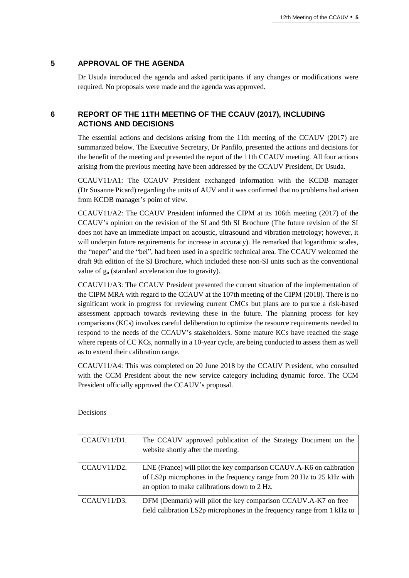## **5 APPROVAL OF THE AGENDA**

Dr Usuda introduced the agenda and asked participants if any changes or modifications were required. No proposals were made and the agenda was approved.

# **6 REPORT OF THE 11TH MEETING OF THE CCAUV (2017), INCLUDING ACTIONS AND DECISIONS**

The essential actions and decisions arising from the 11th meeting of the CCAUV (2017) are summarized below. The Executive Secretary, Dr Panfilo, presented the actions and decisions for the benefit of the meeting and presented the report of the 11th CCAUV meeting. All four actions arising from the previous meeting have been addressed by the CCAUV President, Dr Usuda.

CCAUV11/A1: The CCAUV President exchanged information with the KCDB manager (Dr Susanne Picard) regarding the units of AUV and it was confirmed that no problems had arisen from KCDB manager's point of view.

CCAUV11/A2: The CCAUV President informed the CIPM at its 106th meeting (2017) of the CCAUV's opinion on the revision of the SI and 9th SI Brochure (The future revision of the SI does not have an immediate impact on acoustic, ultrasound and vibration metrology; however, it will underpin future requirements for increase in accuracy). He remarked that logarithmic scales, the "neper" and the "bel", had been used in a specific technical area. The CCAUV welcomed the draft 9th edition of the SI Brochure, which included these non-SI units such as the conventional value of g<sup>n</sup> (standard acceleration due to gravity).

CCAUV11/A3: The CCAUV President presented the current situation of the implementation of the CIPM MRA with regard to the CCAUV at the 107th meeting of the CIPM (2018). There is no significant work in progress for reviewing current CMCs but plans are to pursue a risk-based assessment approach towards reviewing these in the future. The planning process for key comparisons (KCs) involves careful deliberation to optimize the resource requirements needed to respond to the needs of the CCAUV's stakeholders. Some mature KCs have reached the stage where repeats of CC KCs, normally in a 10-year cycle, are being conducted to assess them as well as to extend their calibration range.

CCAUV11/A4: This was completed on 20 June 2018 by the CCAUV President, who consulted with the CCM President about the new service category including dynamic force. The CCM President officially approved the CCAUV's proposal.

Decisions

| CCAUV11/D1. | The CCAUV approved publication of the Strategy Document on the<br>website shortly after the meeting.                                                                                         |
|-------------|----------------------------------------------------------------------------------------------------------------------------------------------------------------------------------------------|
| CCAUV11/D2. | LNE (France) will pilot the key comparison CCAUV.A-K6 on calibration<br>of LS2p microphones in the frequency range from 20 Hz to 25 kHz with<br>an option to make calibrations down to 2 Hz. |
| CCAUV11/D3. | DFM (Denmark) will pilot the key comparison CCAUV.A-K7 on free –<br>field calibration LS2p microphones in the frequency range from 1 kHz to                                                  |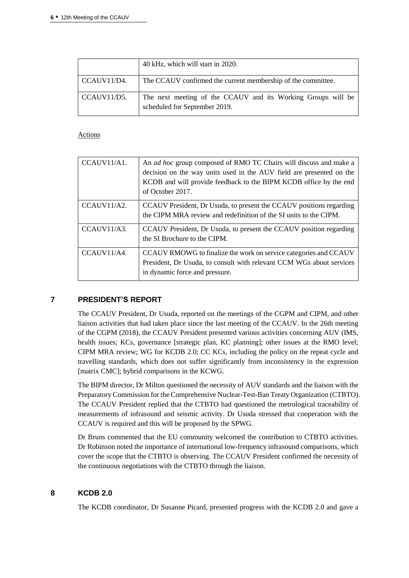|             | 40 kHz, which will start in 2020.                                                             |
|-------------|-----------------------------------------------------------------------------------------------|
| CCAUV11/D4. | The CCAUV confirmed the current membership of the committee.                                  |
| CCAUV11/D5. | The next meeting of the CCAUV and its Working Groups will be<br>scheduled for September 2019. |

#### Actions

| CCAIV11/A1.  | An <i>ad hoc</i> group composed of RMO TC Chairs will discuss and make a<br>decision on the way units used in the AUV field are presented on the<br>KCDB and will provide feedback to the BIPM KCDB office by the end<br>of October 2017. |
|--------------|-------------------------------------------------------------------------------------------------------------------------------------------------------------------------------------------------------------------------------------------|
| CCAIIV11/A2. | CCAUV President, Dr Usuda, to present the CCAUV positions regarding<br>the CIPM MRA review and redefinition of the SI units to the CIPM.                                                                                                  |
| CCAIIV11/A3. | CCAUV President, Dr Usuda, to present the CCAUV position regarding<br>the SI Brochure to the CIPM.                                                                                                                                        |
| CCAIIV11/A4. | CCAUV RMOWG to finalize the work on service categories and CCAUV<br>President, Dr Usuda, to consult with relevant CCM WGs about services<br>in dynamic force and pressure.                                                                |

#### **7 PRESIDENT'S REPORT**

The CCAUV President, Dr Usuda, reported on the meetings of the CGPM and CIPM, and other liaison activities that had taken place since the last meeting of the CCAUV. In the 26th meeting of the CGPM (2018), the CCAUV President presented various activities concerning AUV (IMS, health issues; KCs, governance [strategic plan, KC planning]; other issues at the RMO level; CIPM MRA review; WG for KCDB 2.0; CC KCs, including the policy on the repeat cycle and travelling standards, which does not suffer significantly from inconsistency in the expression [matrix CMC]; hybrid comparisons in the KCWG.

The BIPM director, Dr Milton questioned the necessity of AUV standards and the liaison with the Preparatory Commission for the Comprehensive Nuclear-Test-Ban Treaty Organization (CTBTO). The CCAUV President replied that the CTBTO had questioned the metrological traceability of measurements of infrasound and seismic activity. Dr Usuda stressed that cooperation with the CCAUV is required and this will be proposed by the SPWG.

Dr Bruns commented that the EU community welcomed the contribution to CTBTO activities. Dr Robinson noted the importance of international low-frequency infrasound comparisons, which cover the scope that the CTBTO is observing. The CCAUV President confirmed the necessity of the continuous negotiations with the CTBTO through the liaison.

# **8 KCDB 2.0**

The KCDB coordinator, Dr Susanne Picard, presented progress with the KCDB 2.0 and gave a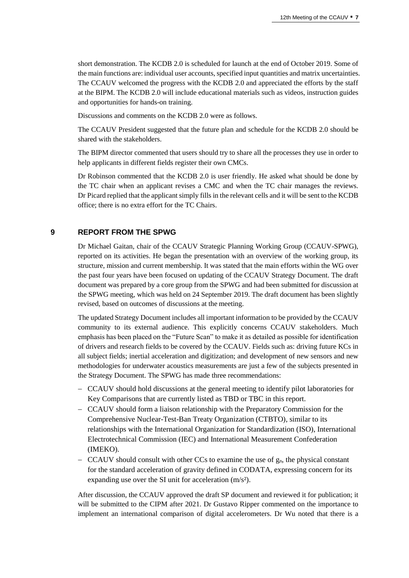short demonstration. The KCDB 2.0 is scheduled for launch at the end of October 2019. Some of the main functions are: individual user accounts, specified input quantities and matrix uncertainties. The CCAUV welcomed the progress with the KCDB 2.0 and appreciated the efforts by the staff at the BIPM. The KCDB 2.0 will include educational materials such as videos, instruction guides and opportunities for hands-on training.

Discussions and comments on the KCDB 2.0 were as follows.

The CCAUV President suggested that the future plan and schedule for the KCDB 2.0 should be shared with the stakeholders.

The BIPM director commented that users should try to share all the processes they use in order to help applicants in different fields register their own CMCs.

Dr Robinson commented that the KCDB 2.0 is user friendly. He asked what should be done by the TC chair when an applicant revises a CMC and when the TC chair manages the reviews. Dr Picard replied that the applicant simply fills in the relevant cells and it will be sent to the KCDB office; there is no extra effort for the TC Chairs.

# **9 REPORT FROM THE SPWG**

Dr Michael Gaitan, chair of the CCAUV Strategic Planning Working Group (CCAUV-SPWG), reported on its activities. He began the presentation with an overview of the working group, its structure, mission and current membership. It was stated that the main efforts within the WG over the past four years have been focused on updating of the CCAUV Strategy Document. The draft document was prepared by a core group from the SPWG and had been submitted for discussion at the SPWG meeting, which was held on 24 September 2019. The draft document has been slightly revised, based on outcomes of discussions at the meeting.

The updated Strategy Document includes all important information to be provided by the CCAUV community to its external audience. This explicitly concerns CCAUV stakeholders. Much emphasis has been placed on the "Future Scan" to make it as detailed as possible for identification of drivers and research fields to be covered by the CCAUV. Fields such as: driving future KCs in all subject fields; inertial acceleration and digitization; and development of new sensors and new methodologies for underwater acoustics measurements are just a few of the subjects presented in the Strategy Document. The SPWG has made three recommendations:

- CCAUV should hold discussions at the general meeting to identify pilot laboratories for Key Comparisons that are currently listed as TBD or TBC in this report.
- CCAUV should form a liaison relationship with the Preparatory Commission for the Comprehensive Nuclear-Test-Ban Treaty Organization (CTBTO), similar to its relationships with the International Organization for Standardization (ISO), International Electrotechnical Commission (IEC) and International Measurement Confederation (IMEKO).
- $-CCAUV$  should consult with other CCs to examine the use of  $g_n$ , the physical constant for the standard acceleration of gravity defined in CODATA, expressing concern for its expanding use over the SI unit for acceleration (m/s²).

After discussion, the CCAUV approved the draft SP document and reviewed it for publication; it will be submitted to the CIPM after 2021. Dr Gustavo Ripper commented on the importance to implement an international comparison of digital accelerometers. Dr Wu noted that there is a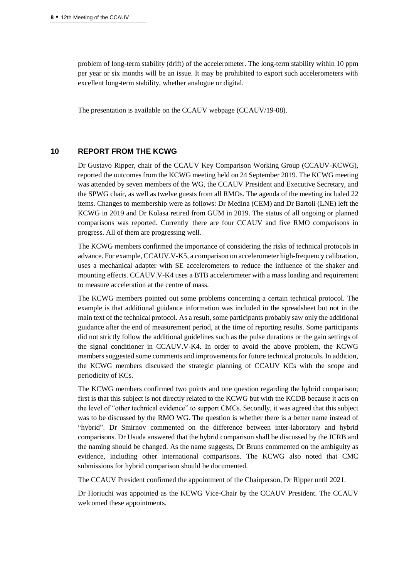problem of long-term stability (drift) of the accelerometer. The long-term stability within 10 ppm per year or six months will be an issue. It may be prohibited to export such accelerometers with excellent long-term stability, whether analogue or digital.

The presentation is available on the CCAUV webpage (CCAUV/19-08).

#### **10 REPORT FROM THE KCWG**

Dr Gustavo Ripper, chair of the CCAUV Key Comparison Working Group (CCAUV-KCWG), reported the outcomes from the KCWG meeting held on 24 September 2019. The KCWG meeting was attended by seven members of the WG, the CCAUV President and Executive Secretary, and the SPWG chair, as well as twelve guests from all RMOs. The agenda of the meeting included 22 items. Changes to membership were as follows: Dr Medina (CEM) and Dr Bartoli (LNE) left the KCWG in 2019 and Dr Kolasa retired from GUM in 2019. The status of all ongoing or planned comparisons was reported. Currently there are four CCAUV and five RMO comparisons in progress. All of them are progressing well.

The KCWG members confirmed the importance of considering the risks of technical protocols in advance. For example, CCAUV.V-K5, a comparison on accelerometer high-frequency calibration, uses a mechanical adapter with SE accelerometers to reduce the influence of the shaker and mounting effects. CCAUV.V-K4 uses a BTB accelerometer with a mass loading and requirement to measure acceleration at the centre of mass.

The KCWG members pointed out some problems concerning a certain technical protocol. The example is that additional guidance information was included in the spreadsheet but not in the main text of the technical protocol. As a result, some participants probably saw only the additional guidance after the end of measurement period, at the time of reporting results. Some participants did not strictly follow the additional guidelines such as the pulse durations or the gain settings of the signal conditioner in CCAUV.V-K4. In order to avoid the above problem, the KCWG members suggested some comments and improvements for future technical protocols. In addition, the KCWG members discussed the strategic planning of CCAUV KCs with the scope and periodicity of KCs.

The KCWG members confirmed two points and one question regarding the hybrid comparison; first is that this subject is not directly related to the KCWG but with the KCDB because it acts on the level of "other technical evidence" to support CMCs. Secondly, it was agreed that this subject was to be discussed by the RMO WG. The question is whether there is a better name instead of "hybrid". Dr Smirnov commented on the difference between inter-laboratory and hybrid comparisons. Dr Usuda answered that the hybrid comparison shall be discussed by the JCRB and the naming should be changed. As the name suggests, Dr Bruns commented on the ambiguity as evidence, including other international comparisons. The KCWG also noted that CMC submissions for hybrid comparison should be documented.

The CCAUV President confirmed the appointment of the Chairperson, Dr Ripper until 2021.

Dr Horiuchi was appointed as the KCWG Vice-Chair by the CCAUV President. The CCAUV welcomed these appointments.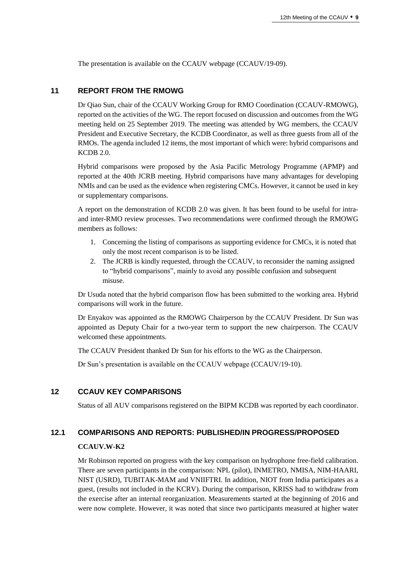The presentation is available on the CCAUV webpage (CCAUV/19-09).

#### **11 REPORT FROM THE RMOWG**

Dr Qiao Sun, chair of the CCAUV Working Group for RMO Coordination (CCAUV-RMOWG), reported on the activities of the WG. The report focused on discussion and outcomes from the WG meeting held on 25 September 2019. The meeting was attended by WG members, the CCAUV President and Executive Secretary, the KCDB Coordinator, as well as three guests from all of the RMOs. The agenda included 12 items, the most important of which were: hybrid comparisons and KCDB 2.0.

Hybrid comparisons were proposed by the Asia Pacific Metrology Programme (APMP) and reported at the 40th JCRB meeting. Hybrid comparisons have many advantages for developing NMIs and can be used as the evidence when registering CMCs. However, it cannot be used in key or supplementary comparisons.

A report on the demonstration of KCDB 2.0 was given. It has been found to be useful for intraand inter-RMO review processes. Two recommendations were confirmed through the RMOWG members as follows:

- 1. Concerning the listing of comparisons as supporting evidence for CMCs, it is noted that only the most recent comparison is to be listed.
- 2. The JCRB is kindly requested, through the CCAUV, to reconsider the naming assigned to "hybrid comparisons", mainly to avoid any possible confusion and subsequent misuse.

Dr Usuda noted that the hybrid comparison flow has been submitted to the working area. Hybrid comparisons will work in the future.

Dr Enyakov was appointed as the RMOWG Chairperson by the CCAUV President. Dr Sun was appointed as Deputy Chair for a two-year term to support the new chairperson. The CCAUV welcomed these appointments.

The CCAUV President thanked Dr Sun for his efforts to the WG as the Chairperson.

Dr Sun's presentation is available on the CCAUV webpage (CCAUV/19-10).

#### **12 CCAUV KEY COMPARISONS**

Status of all AUV comparisons registered on the BIPM KCDB was reported by each coordinator.

## **12.1 COMPARISONS AND REPORTS: PUBLISHED/IN PROGRESS/PROPOSED**

#### **CCAUV.W-K2**

Mr Robinson reported on progress with the key comparison on hydrophone free-field calibration. There are seven participants in the comparison: NPL (pilot), INMETRO, NMISA, NIM-HAARI, NIST (USRD), TUBITAK-MAM and VNIIFTRI. In addition, NIOT from India participates as a guest, (results not included in the KCRV). During the comparison, KRISS had to withdraw from the exercise after an internal reorganization. Measurements started at the beginning of 2016 and were now complete. However, it was noted that since two participants measured at higher water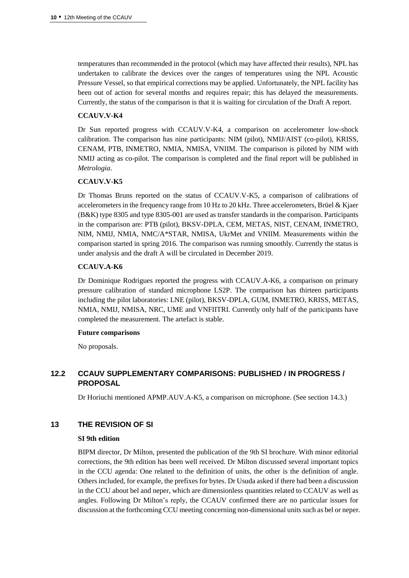temperatures than recommended in the protocol (which may have affected their results), NPL has undertaken to calibrate the devices over the ranges of temperatures using the NPL Acoustic Pressure Vessel, so that empirical corrections may be applied. Unfortunately, the NPL facility has been out of action for several months and requires repair; this has delayed the measurements. Currently, the status of the comparison is that it is waiting for circulation of the Draft A report.

## **CCAUV.V-K4**

Dr Sun reported progress with CCAUV.V-K4, a comparison on accelerometer low-shock calibration. The comparison has nine participants: NIM (pilot), NMIJ/AIST (co-pilot), KRISS, CENAM, PTB, INMETRO, NMIA, NMISA, VNIIM. The comparison is piloted by NIM with NMIJ acting as co-pilot. The comparison is completed and the final report will be published in *Metrologia*.

## **CCAUV.V-K5**

Dr Thomas Bruns reported on the status of CCAUV.V-K5, a comparison of calibrations of accelerometers in the frequency range from 10 Hz to 20 kHz. Three accelerometers, Brüel & Kjaer (B&K) type 8305 and type 8305-001 are used as transfer standards in the comparison. Participants in the comparison are: PTB (pilot), BKSV-DPLA, CEM, METAS, NIST, CENAM, INMETRO, NIM, NMIJ, NMIA, NMC/A\*STAR, NMISA, UkrMet and VNIIM. Measurements within the comparison started in spring 2016. The comparison was running smoothly. Currently the status is under analysis and the draft A will be circulated in December 2019.

## **CCAUV.A-K6**

Dr Dominique Rodrigues reported the progress with CCAUV.A-K6, a comparison on primary pressure calibration of standard microphone LS2P. The comparison has thirteen participants including the pilot laboratories: LNE (pilot), BKSV-DPLA, GUM, INMETRO, KRISS, METAS, NMIA, NMIJ, NMISA, NRC, UME and VNFIITRI. Currently only half of the participants have completed the measurement. The artefact is stable.

#### **Future comparisons**

No proposals.

# **12.2 CCAUV SUPPLEMENTARY COMPARISONS: PUBLISHED / IN PROGRESS / PROPOSAL**

Dr Horiuchi mentioned APMP.AUV.A-K5, a comparison on microphone. (See section 14.3.)

# **13 THE REVISION OF SI**

#### **SI 9th edition**

BIPM director, Dr Milton, presented the publication of the 9th SI brochure. With minor editorial corrections, the 9th edition has been well received. Dr Milton discussed several important topics in the CCU agenda: One related to the definition of units, the other is the definition of angle. Others included, for example, the prefixes for bytes. Dr Usuda asked if there had been a discussion in the CCU about bel and neper, which are dimensionless quantities related to CCAUV as well as angles. Following Dr Milton's reply, the CCAUV confirmed there are no particular issues for discussion at the forthcoming CCU meeting concerning non-dimensional units such as bel or neper.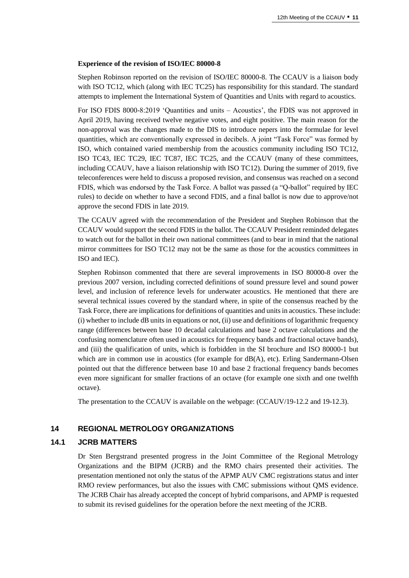#### **Experience of the revision of ISO/IEC 80000-8**

Stephen Robinson reported on the revision of ISO/IEC 80000-8. The CCAUV is a liaison body with ISO TC12, which (along with IEC TC25) has responsibility for this standard. The standard attempts to implement the International System of Quantities and Units with regard to acoustics.

For ISO FDIS 8000-8:2019 'Quantities and units – Acoustics', the FDIS was not approved in April 2019, having received twelve negative votes, and eight positive. The main reason for the non-approval was the changes made to the DIS to introduce nepers into the formulae for level quantities, which are conventionally expressed in decibels. A joint "Task Force" was formed by ISO, which contained varied membership from the acoustics community including ISO TC12, ISO TC43, IEC TC29, IEC TC87, IEC TC25, and the CCAUV (many of these committees, including CCAUV, have a liaison relationship with ISO TC12). During the summer of 2019, five teleconferences were held to discuss a proposed revision, and consensus was reached on a second FDIS, which was endorsed by the Task Force. A ballot was passed (a "Q-ballot" required by IEC rules) to decide on whether to have a second FDIS, and a final ballot is now due to approve/not approve the second FDIS in late 2019.

The CCAUV agreed with the recommendation of the President and Stephen Robinson that the CCAUV would support the second FDIS in the ballot. The CCAUV President reminded delegates to watch out for the ballot in their own national committees (and to bear in mind that the national mirror committees for ISO TC12 may not be the same as those for the acoustics committees in ISO and IEC).

Stephen Robinson commented that there are several improvements in ISO 80000-8 over the previous 2007 version, including corrected definitions of sound pressure level and sound power level, and inclusion of reference levels for underwater acoustics. He mentioned that there are several technical issues covered by the standard where, in spite of the consensus reached by the Task Force, there are implications for definitions of quantities and units in acoustics. These include: (i) whether to include dB units in equations or not, (ii) use and definitions of logarithmic frequency range (differences between base 10 decadal calculations and base 2 octave calculations and the confusing nomenclature often used in acoustics for frequency bands and fractional octave bands), and (iii) the qualification of units, which is forbidden in the SI brochure and ISO 80000-1 but which are in common use in acoustics (for example for  $dB(A)$ , etc). Erling Sandermann-Olsen pointed out that the difference between base 10 and base 2 fractional frequency bands becomes even more significant for smaller fractions of an octave (for example one sixth and one twelfth octave).

The presentation to the CCAUV is available on the webpage: (CCAUV/19-12.2 and 19-12.3).

#### **14 REGIONAL METROLOGY ORGANIZATIONS**

#### **14.1 JCRB MATTERS**

Dr Sten Bergstrand presented progress in the Joint Committee of the Regional Metrology Organizations and the BIPM (JCRB) and the RMO chairs presented their activities. The presentation mentioned not only the status of the APMP AUV CMC registrations status and inter RMO review performances, but also the issues with CMC submissions without QMS evidence. The JCRB Chair has already accepted the concept of hybrid comparisons, and APMP is requested to submit its revised guidelines for the operation before the next meeting of the JCRB.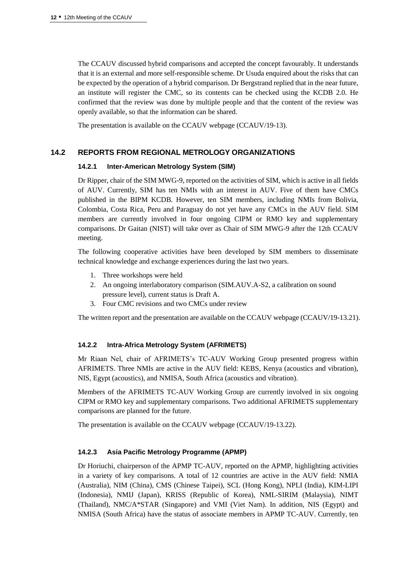The CCAUV discussed hybrid comparisons and accepted the concept favourably. It understands that it is an external and more self-responsible scheme. Dr Usuda enquired about the risks that can be expected by the operation of a hybrid comparison. Dr Bergstrand replied that in the near future, an institute will register the CMC, so its contents can be checked using the KCDB 2.0. He confirmed that the review was done by multiple people and that the content of the review was openly available, so that the information can be shared.

The presentation is available on the CCAUV webpage (CCAUV/19-13).

# **14.2 REPORTS FROM REGIONAL METROLOGY ORGANIZATIONS**

#### **14.2.1 Inter-American Metrology System (SIM)**

Dr Ripper, chair of the SIM MWG-9, reported on the activities of SIM, which is active in all fields of AUV. Currently, SIM has ten NMIs with an interest in AUV. Five of them have CMCs published in the BIPM KCDB. However, ten SIM members, including NMIs from Bolivia, Colombia, Costa Rica, Peru and Paraguay do not yet have any CMCs in the AUV field. SIM members are currently involved in four ongoing CIPM or RMO key and supplementary comparisons. Dr Gaitan (NIST) will take over as Chair of SIM MWG-9 after the 12th CCAUV meeting.

The following cooperative activities have been developed by SIM members to disseminate technical knowledge and exchange experiences during the last two years.

- 1. Three workshops were held
- 2. An ongoing interlaboratory comparison (SIM.AUV.A-S2, a calibration on sound pressure level), current status is Draft A.
- 3. Four CMC revisions and two CMCs under review

The written report and the presentation are available on the CCAUV webpage (CCAUV/19-13.21).

#### **14.2.2 Intra-Africa Metrology System (AFRIMETS)**

Mr Riaan Nel, chair of AFRIMETS's TC-AUV Working Group presented progress within AFRIMETS. Three NMIs are active in the AUV field: KEBS, Kenya (acoustics and vibration), NIS, Egypt (acoustics), and NMISA, South Africa (acoustics and vibration).

Members of the AFRIMETS TC-AUV Working Group are currently involved in six ongoing CIPM or RMO key and supplementary comparisons. Two additional AFRIMETS supplementary comparisons are planned for the future.

The presentation is available on the CCAUV webpage (CCAUV/19-13.22).

## **14.2.3 Asia Pacific Metrology Programme (APMP)**

Dr Horiuchi, chairperson of the APMP TC-AUV, reported on the APMP, highlighting activities in a variety of key comparisons. A total of 12 countries are active in the AUV field: NMIA (Australia), NIM (China), CMS (Chinese Taipei), SCL (Hong Kong), NPLI (India), KIM-LIPI (Indonesia), NMIJ (Japan), KRISS (Republic of Korea), NML-SIRIM (Malaysia), NIMT (Thailand), NMC/A\*STAR (Singapore) and VMI (Viet Nam). In addition, NIS (Egypt) and NMISA (South Africa) have the status of associate members in APMP TC-AUV. Currently, ten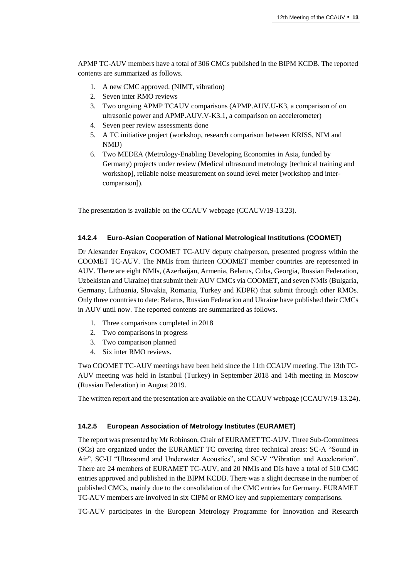APMP TC-AUV members have a total of 306 CMCs published in the BIPM KCDB. The reported contents are summarized as follows.

- 1. A new CMC approved. (NIMT, vibration)
- 2. Seven inter RMO reviews
- 3. Two ongoing APMP TCAUV comparisons (APMP.AUV.U-K3, a comparison of on ultrasonic power and APMP.AUV.V-K3.1, a comparison on accelerometer)
- 4. Seven peer review assessments done
- 5. A TC initiative project (workshop, research comparison between KRISS, NIM and NMIJ)
- 6. Two MEDEA (Metrology-Enabling Developing Economies in Asia, funded by Germany) projects under review (Medical ultrasound metrology [technical training and workshop], reliable noise measurement on sound level meter [workshop and intercomparison]).

The presentation is available on the CCAUV webpage (CCAUV/19-13.23).

#### **14.2.4 Euro-Asian Cooperation of National Metrological Institutions (COOMET)**

Dr Alexander Enyakov, COOMET TC-AUV deputy chairperson, presented progress within the COOMET TC-AUV. The NMIs from thirteen COOMET member countries are represented in AUV. There are eight NMIs, (Azerbaijan, Armenia, Belarus, Cuba, Georgia, Russian Federation, Uzbekistan and Ukraine) that submit their AUV CMCs via COOMET, and seven NMIs (Bulgaria, Germany, Lithuania, Slovakia, Romania, Turkey and KDPR) that submit through other RMOs. Only three countries to date: Belarus, Russian Federation and Ukraine have published their CMCs in AUV until now. The reported contents are summarized as follows.

- 1. Three comparisons completed in 2018
- 2. Two comparisons in progress
- 3. Two comparison planned
- 4. Six inter RMO reviews.

Two COOMET TC-AUV meetings have been held since the 11th CCAUV meeting. The 13th TC-AUV meeting was held in Istanbul (Turkey) in September 2018 and 14th meeting in Moscow (Russian Federation) in August 2019.

The written report and the presentation are available on the CCAUV webpage (CCAUV/19-13.24).

#### **14.2.5 European Association of Metrology Institutes (EURAMET)**

The report was presented by Mr Robinson, Chair of EURAMET TC-AUV. Three Sub-Committees (SCs) are organized under the EURAMET TC covering three technical areas: SC-A "Sound in Air", SC-U "Ultrasound and Underwater Acoustics", and SC-V "Vibration and Acceleration". There are 24 members of EURAMET TC-AUV, and 20 NMIs and DIs have a total of 510 CMC entries approved and published in the BIPM KCDB. There was a slight decrease in the number of published CMCs, mainly due to the consolidation of the CMC entries for Germany. EURAMET TC-AUV members are involved in six CIPM or RMO key and supplementary comparisons.

TC-AUV participates in the European Metrology Programme for Innovation and Research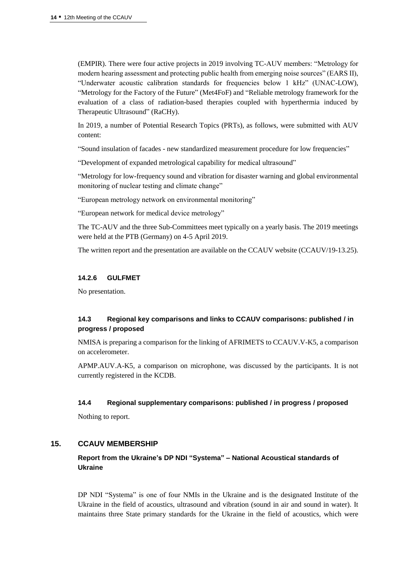(EMPIR). There were four active projects in 2019 involving TC-AUV members: "Metrology for modern hearing assessment and protecting public health from emerging noise sources" (EARS II), "Underwater acoustic calibration standards for frequencies below 1 kHz" (UNAC-LOW), "Metrology for the Factory of the Future" (Met4FoF) and "Reliable metrology framework for the evaluation of a class of radiation-based therapies coupled with hyperthermia induced by Therapeutic Ultrasound" (RaCHy).

In 2019, a number of Potential Research Topics (PRTs), as follows, were submitted with AUV content:

"Sound insulation of facades - new standardized measurement procedure for low frequencies"

"Development of expanded metrological capability for medical ultrasound"

"Metrology for low-frequency sound and vibration for disaster warning and global environmental monitoring of nuclear testing and climate change"

"European metrology network on environmental monitoring"

"European network for medical device metrology"

The TC-AUV and the three Sub-Committees meet typically on a yearly basis. The 2019 meetings were held at the PTB (Germany) on 4-5 April 2019.

The written report and the presentation are available on the CCAUV website (CCAUV/19-13.25).

#### **14.2.6 GULFMET**

No presentation.

# **14.3 Regional key comparisons and links to CCAUV comparisons: published / in progress / proposed**

NMISA is preparing a comparison for the linking of AFRIMETS to CCAUV.V-K5, a comparison on accelerometer.

APMP.AUV.A-K5, a comparison on microphone, was discussed by the participants. It is not currently registered in the KCDB.

#### **14.4 Regional supplementary comparisons: published / in progress / proposed**

Nothing to report.

#### **15. CCAUV MEMBERSHIP**

# **Report from the Ukraine's DP NDI "Systema" – National Acoustical standards of Ukraine**

DP NDI "Systema" is one of four NMIs in the Ukraine and is the designated Institute of the Ukraine in the field of acoustics, ultrasound and vibration (sound in air and sound in water). It maintains three State primary standards for the Ukraine in the field of acoustics, which were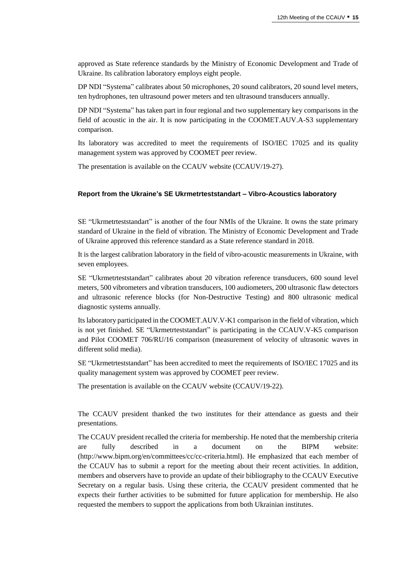approved as State reference standards by the Ministry of Economic Development and Trade of Ukraine. Its calibration laboratory employs eight people.

DP NDI "Systema" calibrates about 50 microphones, 20 sound calibrators, 20 sound level meters, ten hydrophones, ten ultrasound power meters and ten ultrasound transducers annually.

DP NDI "Systema" has taken part in four regional and two supplementary key comparisons in the field of acoustic in the air. It is now participating in the COOMET.AUV.A-S3 supplementary comparison.

Its laboratory was accredited to meet the requirements of ISO/IEC 17025 and its quality management system was approved by COOMET peer review.

The presentation is available on the CCAUV website (CCAUV/19-27).

#### **Report from the Ukraine's SE Ukrmetrteststandart – Vibro-Acoustics laboratory**

SE "Ukrmetrteststandart" is another of the four NMIs of the Ukraine. It owns the state primary standard of Ukraine in the field of vibration. The Ministry of Economic Development and Trade of Ukraine approved this reference standard as a State reference standard in 2018.

It is the largest calibration laboratory in the field of vibro-acoustic measurements in Ukraine, with seven employees.

SE "Ukrmetrteststandart" calibrates about 20 vibration reference transducers, 600 sound level meters, 500 vibrometers and vibration transducers, 100 audiometers, 200 ultrasonic flaw detectors and ultrasonic reference blocks (for Non-Destructive Testing) and 800 ultrasonic medical diagnostic systems annually.

Its laboratory participated in the COOMET.AUV.V-K1 comparison in the field of vibration, which is not yet finished. SE "Ukrmetrteststandart" is participating in the CCAUV.V-K5 comparison and Pilot COOMET 706/RU/16 comparison (measurement of velocity of ultrasonic waves in different solid media).

SE "Ukrmetrteststandart" has been accredited to meet the requirements of ISO/IEC 17025 and its quality management system was approved by COOMET peer review.

The presentation is available on the CCAUV website (CCAUV/19-22).

The CCAUV president thanked the two institutes for their attendance as guests and their presentations.

The CCAUV president recalled the criteria for membership. He noted that the membership criteria are fully described in a document on the BIPM website: (http://www.bipm.org/en/committees/cc/cc-criteria.html). He emphasized that each member of the CCAUV has to submit a report for the meeting about their recent activities. In addition, members and observers have to provide an update of their bibliography to the CCAUV Executive Secretary on a regular basis. Using these criteria, the CCAUV president commented that he expects their further activities to be submitted for future application for membership. He also requested the members to support the applications from both Ukrainian institutes.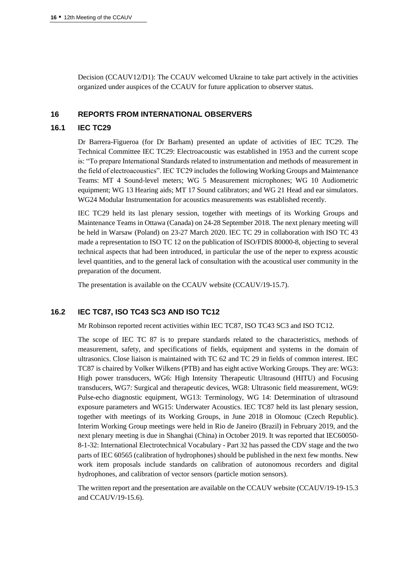Decision (CCAUV12/D1): The CCAUV welcomed Ukraine to take part actively in the activities organized under auspices of the CCAUV for future application to observer status.

#### **16 REPORTS FROM INTERNATIONAL OBSERVERS**

#### **16.1 IEC TC29**

Dr Barrera-Figueroa (for Dr Barham) presented an update of activities of IEC TC29. The Technical Committee IEC TC29: Electroacoustic was established in 1953 and the current scope is: "To prepare International Standards related to instrumentation and methods of measurement in the field of electroacoustics". IEC TC29 includes the following Working Groups and Maintenance Teams: MT 4 Sound-level meters; WG 5 Measurement microphones; WG 10 Audiometric equipment; WG 13 Hearing aids; MT 17 Sound calibrators; and WG 21 Head and ear simulators. WG24 Modular Instrumentation for acoustics measurements was established recently.

IEC TC29 held its last plenary session, together with meetings of its Working Groups and Maintenance Teams in Ottawa (Canada) on 24-28 September 2018. The next plenary meeting will be held in Warsaw (Poland) on 23-27 March 2020. IEC TC 29 in collaboration with ISO TC 43 made a representation to ISO TC 12 on the publication of ISO/FDIS 80000-8, objecting to several technical aspects that had been introduced, in particular the use of the neper to express acoustic level quantities, and to the general lack of consultation with the acoustical user community in the preparation of the document.

The presentation is available on the CCAUV website (CCAUV/19-15.7).

# **16.2 IEC TC87, ISO TC43 SC3 AND ISO TC12**

Mr Robinson reported recent activities within IEC TC87, ISO TC43 SC3 and ISO TC12.

The scope of IEC TC 87 is to prepare standards related to the characteristics, methods of measurement, safety, and specifications of fields, equipment and systems in the domain of ultrasonics. Close liaison is maintained with TC 62 and TC 29 in fields of common interest. IEC TC87 is chaired by Volker Wilkens (PTB) and has eight active Working Groups. They are: WG3: High power transducers, WG6: High Intensity Therapeutic Ultrasound (HITU) and Focusing transducers, WG7: Surgical and therapeutic devices, WG8: Ultrasonic field measurement, WG9: Pulse-echo diagnostic equipment, WG13: Terminology, WG 14: Determination of ultrasound exposure parameters and WG15: Underwater Acoustics. IEC TC87 held its last plenary session, together with meetings of its Working Groups, in June 2018 in Olomouc (Czech Republic). Interim Working Group meetings were held in Rio de Janeiro (Brazil) in February 2019, and the next plenary meeting is due in Shanghai (China) in October 2019. It was reported that IEC60050- 8-1-32: International Electrotechnical Vocabulary - Part 32 has passed the CDV stage and the two parts of IEC 60565 (calibration of hydrophones) should be published in the next few months. New work item proposals include standards on calibration of autonomous recorders and digital hydrophones, and calibration of vector sensors (particle motion sensors).

The written report and the presentation are available on the CCAUV website (CCAUV/19-19-15.3 and CCAUV/19-15.6).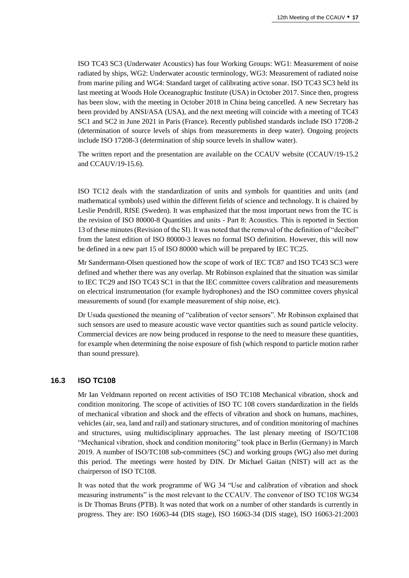ISO TC43 SC3 (Underwater Acoustics) has four Working Groups: WG1: Measurement of noise radiated by ships, WG2: Underwater acoustic terminology, WG3: Measurement of radiated noise from marine piling and WG4: Standard target of calibrating active sonar. ISO TC43 SC3 held its last meeting at Woods Hole Oceanographic Institute (USA) in October 2017. Since then, progress has been slow, with the meeting in October 2018 in China being cancelled. A new Secretary has been provided by ANSI/ASA (USA), and the next meeting will coincide with a meeting of TC43 SC1 and SC2 in June 2021 in Paris (France). Recently published standards include ISO 17208-2 (determination of source levels of ships from measurements in deep water). Ongoing projects include ISO 17208-3 (determination of ship source levels in shallow water).

The written report and the presentation are available on the CCAUV website (CCAUV/19-15.2 and CCAUV/19-15.6).

ISO TC12 deals with the standardization of units and symbols for quantities and units (and mathematical symbols) used within the different fields of science and technology. It is chaired by Leslie Pendrill, RISE (Sweden). It was emphasized that the most important news from the TC is the revision of ISO 80000-8 Quantities and units - Part 8: Acoustics. This is reported in Section 13 of these minutes (Revision of the SI). It was noted that the removal of the definition of "decibel" from the latest edition of ISO 80000-3 leaves no formal ISO definition. However, this will now be defined in a new part 15 of ISO 80000 which will be prepared by IEC TC25.

Mr Sandermann-Olsen questioned how the scope of work of IEC TC87 and ISO TC43 SC3 were defined and whether there was any overlap. Mr Robinson explained that the situation was similar to IEC TC29 and ISO TC43 SC1 in that the IEC committee covers calibration and measurements on electrical instrumentation (for example hydrophones) and the ISO committee covers physical measurements of sound (for example measurement of ship noise, etc).

Dr Usuda questioned the meaning of "calibration of vector sensors". Mr Robinson explained that such sensors are used to measure acoustic wave vector quantities such as sound particle velocity. Commercial devices are now being produced in response to the need to measure these quantities, for example when determining the noise exposure of fish (which respond to particle motion rather than sound pressure).

#### **16.3 ISO TC108**

Mr Ian Veldmann reported on recent activities of ISO TC108 Mechanical vibration, shock and condition monitoring. The scope of activities of ISO TC 108 covers standardization in the fields of mechanical vibration and shock and the effects of vibration and shock on humans, machines, vehicles (air, sea, land and rail) and stationary structures, and of condition monitoring of machines and structures, using multidisciplinary approaches. The last plenary meeting of ISO/TC108 "Mechanical vibration, shock and condition monitoring" took place in Berlin (Germany) in March 2019. A number of ISO/TC108 sub-committees (SC) and working groups (WG) also met during this period. The meetings were hosted by DIN. Dr Michael Gaitan (NIST) will act as the chairperson of ISO TC108.

It was noted that the work programme of WG 34 "Use and calibration of vibration and shock measuring instruments" is the most relevant to the CCAUV. The convenor of ISO TC108 WG34 is Dr Thomas Bruns (PTB). It was noted that work on a number of other standards is currently in progress. They are: ISO 16063-44 (DIS stage), ISO 16063-34 (DIS stage), ISO 16063-21:2003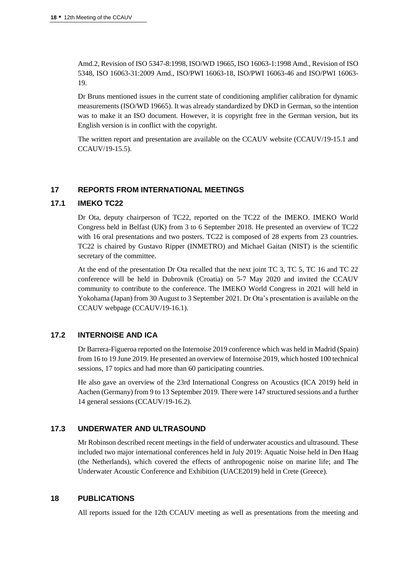Amd.2, Revision of ISO 5347-8:1998, ISO/WD 19665, ISO 16063-1:1998 Amd., Revision of ISO 5348, ISO 16063-31:2009 Amd., ISO/PWI 16063-18, ISO/PWI 16063-46 and ISO/PWI 16063- 19.

Dr Bruns mentioned issues in the current state of conditioning amplifier calibration for dynamic measurements (ISO/WD 19665). It was already standardized by DKD in German, so the intention was to make it an ISO document. However, it is copyright free in the German version, but its English version is in conflict with the copyright.

The written report and presentation are available on the CCAUV website (CCAUV/19-15.1 and CCAUV/19-15.5).

## **17 REPORTS FROM INTERNATIONAL MEETINGS**

#### **17.1 IMEKO TC22**

Dr Ota, deputy chairperson of TC22, reported on the TC22 of the IMEKO. IMEKO World Congress held in Belfast (UK) from 3 to 6 September 2018. He presented an overview of TC22 with 16 oral presentations and two posters. TC22 is composed of 28 experts from 23 countries. TC22 is chaired by Gustavo Ripper (INMETRO) and Michael Gaitan (NIST) is the scientific secretary of the committee.

At the end of the presentation Dr Ota recalled that the next joint TC 3, TC 5, TC 16 and TC 22 conference will be held in Dubrovnik (Croatia) on 5-7 May 2020 and invited the CCAUV community to contribute to the conference. The IMEKO World Congress in 2021 will held in Yokohama (Japan) from 30 August to 3 September 2021. Dr Ota's presentation is available on the CCAUV webpage (CCAUV/19-16.1).

#### **17.2 INTERNOISE AND ICA**

Dr Barrera-Figueroa reported on the Internoise 2019 conference which was held in Madrid (Spain) from 16 to 19 June 2019. He presented an overview of Internoise 2019, which hosted 100 technical sessions, 17 topics and had more than 60 participating countries.

He also gave an overview of the 23rd International Congress on Acoustics (ICA 2019) held in Aachen (Germany) from 9 to 13 September 2019. There were 147 structured sessions and a further 14 general sessions (CCAUV/19-16.2).

#### **17.3 UNDERWATER AND ULTRASOUND**

Mr Robinson described recent meetings in the field of underwater acoustics and ultrasound. These included two major international conferences held in July 2019: Aquatic Noise held in Den Haag (the Netherlands), which covered the effects of anthropogenic noise on marine life; and The Underwater Acoustic Conference and Exhibition (UACE2019) held in Crete (Greece).

#### **18 PUBLICATIONS**

All reports issued for the 12th CCAUV meeting as well as presentations from the meeting and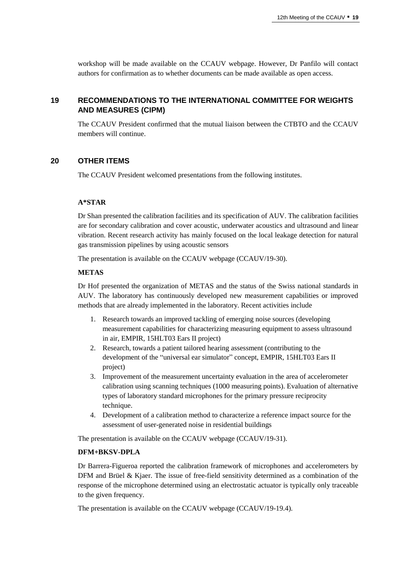workshop will be made available on the CCAUV webpage. However, Dr Panfilo will contact authors for confirmation as to whether documents can be made available as open access.

# **19 RECOMMENDATIONS TO THE INTERNATIONAL COMMITTEE FOR WEIGHTS AND MEASURES (CIPM)**

The CCAUV President confirmed that the mutual liaison between the CTBTO and the CCAUV members will continue.

#### **20 OTHER ITEMS**

The CCAUV President welcomed presentations from the following institutes.

#### **A\*STAR**

Dr Shan presented the calibration facilities and its specification of AUV. The calibration facilities are for secondary calibration and cover acoustic, underwater acoustics and ultrasound and linear vibration. Recent research activity has mainly focused on the local leakage detection for natural gas transmission pipelines by using acoustic sensors

The presentation is available on the CCAUV webpage (CCAUV/19-30).

#### **METAS**

Dr Hof presented the organization of METAS and the status of the Swiss national standards in AUV. The laboratory has continuously developed new measurement capabilities or improved methods that are already implemented in the laboratory. Recent activities include

- 1. Research towards an improved tackling of emerging noise sources (developing measurement capabilities for characterizing measuring equipment to assess ultrasound in air, EMPIR, 15HLT03 Ears II project)
- 2. Research, towards a patient tailored hearing assessment (contributing to the development of the "universal ear simulator" concept, EMPIR, 15HLT03 Ears II project)
- 3. Improvement of the measurement uncertainty evaluation in the area of accelerometer calibration using scanning techniques (1000 measuring points). Evaluation of alternative types of laboratory standard microphones for the primary pressure reciprocity technique.
- 4. Development of a calibration method to characterize a reference impact source for the assessment of user-generated noise in residential buildings

The presentation is available on the CCAUV webpage (CCAUV/19-31).

## **DFM+BKSV-DPLA**

Dr Barrera-Figueroa reported the calibration framework of microphones and accelerometers by DFM and Brüel & Kjaer. The issue of free-field sensitivity determined as a combination of the response of the microphone determined using an electrostatic actuator is typically only traceable to the given frequency.

The presentation is available on the CCAUV webpage (CCAUV/19-19.4).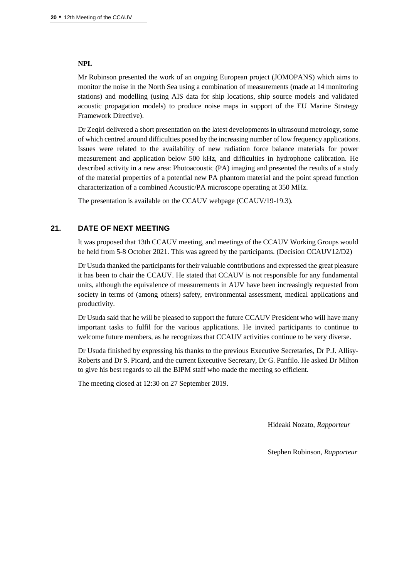#### **NPL**

Mr Robinson presented the work of an ongoing European project (JOMOPANS) which aims to monitor the noise in the North Sea using a combination of measurements (made at 14 monitoring stations) and modelling (using AIS data for ship locations, ship source models and validated acoustic propagation models) to produce noise maps in support of the EU Marine Strategy Framework Directive).

Dr Zeqiri delivered a short presentation on the latest developments in ultrasound metrology, some of which centred around difficulties posed by the increasing number of low frequency applications. Issues were related to the availability of new radiation force balance materials for power measurement and application below 500 kHz, and difficulties in hydrophone calibration. He described activity in a new area: Photoacoustic (PA) imaging and presented the results of a study of the material properties of a potential new PA phantom material and the point spread function characterization of a combined Acoustic/PA microscope operating at 350 MHz.

The presentation is available on the CCAUV webpage (CCAUV/19-19.3).

## **21. DATE OF NEXT MEETING**

It was proposed that 13th CCAUV meeting, and meetings of the CCAUV Working Groups would be held from 5-8 October 2021. This was agreed by the participants. (Decision CCAUV12/D2)

Dr Usuda thanked the participants for their valuable contributions and expressed the great pleasure it has been to chair the CCAUV. He stated that CCAUV is not responsible for any fundamental units, although the equivalence of measurements in AUV have been increasingly requested from society in terms of (among others) safety, environmental assessment, medical applications and productivity.

Dr Usuda said that he will be pleased to support the future CCAUV President who will have many important tasks to fulfil for the various applications. He invited participants to continue to welcome future members, as he recognizes that CCAUV activities continue to be very diverse.

Dr Usuda finished by expressing his thanks to the previous Executive Secretaries, Dr P.J. Allisy-Roberts and Dr S. Picard, and the current Executive Secretary, Dr G. Panfilo. He asked Dr Milton to give his best regards to all the BIPM staff who made the meeting so efficient.

The meeting closed at 12:30 on 27 September 2019.

Hideaki Nozato, *Rapporteur*

Stephen Robinson, *Rapporteur*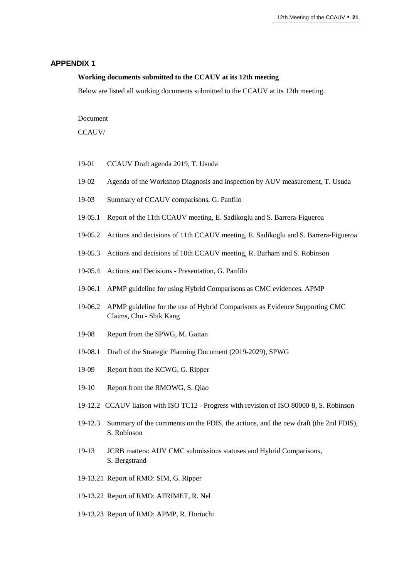#### **APPENDIX 1**

#### **Working documents submitted to the CCAUV at its 12th meeting**

Below are listed all working documents submitted to the CCAUV at its 12th meeting.

Document

CCAUV/

- 19-01 CCAUV Draft agenda 2019, T. Usuda
- 19-02 Agenda of the Workshop Diagnosis and inspection by AUV measurement, T. Usuda
- 19-03 Summary of CCAUV comparisons, G. Panfilo
- 19-05.1 Report of the 11th CCAUV meeting, E. Sadikoglu and S. Barrera-Figueroa
- 19-05.2 Actions and decisions of 11th CCAUV meeting, E. Sadikoglu and S. Barrera-Figueroa
- 19-05.3 Actions and decisions of 10th CCAUV meeting, R. Barham and S. Robinson
- 19-05.4 Actions and Decisions Presentation, G. Panfilo
- 19-06.1 APMP guideline for using Hybrid Comparisons as CMC evidences, APMP
- 19-06.2 APMP guideline for the use of Hybrid Comparisons as Evidence Supporting CMC Claims, Chu - Shik Kang
- 19-08 Report from the SPWG, M. Gaitan
- 19-08.1 Draft of the Strategic Planning Document (2019-2029), SPWG
- 19-09 Report from the KCWG, G. Ripper
- 19-10 Report from the RMOWG, S. Qiao
- 19-12.2 CCAUV liaison with ISO TC12 Progress with revision of ISO 80000-8, S. Robinson
- 19-12.3 Summary of the comments on the FDIS, the actions, and the new draft (the 2nd FDIS), S. Robinson
- 19-13 JCRB matters: AUV CMC submissions statuses and Hybrid Comparisons, S. Bergstrand
- 19-13.21 Report of RMO: SIM, G. Ripper
- 19-13.22 Report of RMO: AFRIMET, R. Nel
- 19-13.23 Report of RMO: APMP, R. Horiuchi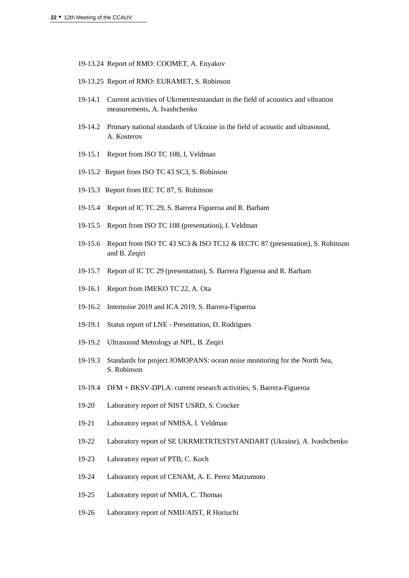- 19-13.24 Report of RMO: COOMET, A. Enyakov
- 19-13.25 Report of RMO: EURAMET, S. Robinson
- 19-14.1 Current activities of Ukrmetrteststandart in the field of acoustics and vibration measurements, A. Ivashchenko
- 19-14.2 Primary national standards of Ukraine in the field of acoustic and ultrasound, A. Kosterov
- 19-15.1 Report from ISO TC 108, I, Veldman
- 19-15.2 Report from ISO TC 43 SC3, S. Robinson
- 19-15.3 Report from IEC TC 87, S. Robinson
- 19-15.4 Report of IC TC 29, S. Barrera Figueroa and R. Barham
- 19-15.5 Report from ISO TC 108 (presentation), I. Veldman
- 19-15.6 Report from ISO TC 43 SC3 & ISO TC12 & IECTC 87 (presentation), S. Robinson and B. Zeqiri
- 19-15.7 Report of IC TC 29 (presentation), S. Barrera Figueroa and R. Barham
- 19-16.1 Report from IMEKO TC 22, A. Ota
- 19-16.2 Internoise 2019 and ICA 2019, S. Barrera-Figueroa
- 19-19.1 Status report of LNE Presentation, D. Rodrigues
- 19-19.2 Ultrasound Metrology at NPL, B. Zeqiri
- 19-19.3 Standards for project JOMOPANS: ocean noise monitoring for the North Sea, S. Robinson
- 19-19.4 DFM + BKSV-DPLA: current research activities, S. Barrera-Figueroa
- 19-20 Laboratory report of NIST USRD, S. Crocker
- 19-21 Laboratory report of NMISA, I. Veldman
- 19-22 Laboratory report of SE UKRMETRTESTSTANDART (Ukraine), A. Ivashchenko
- 19-23 Laboratory report of PTB, C. Koch
- 19-24 Laboratory report of CENAM, A. E. Perez Matzumoto
- 19-25 Laboratory report of NMIA, C. Thomas
- 19-26 Laboratory report of NMIJ/AIST, R Horiuchi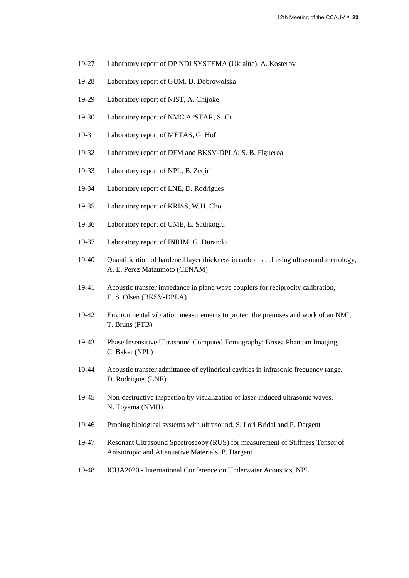- 19-27 Laboratory report of DP NDI SYSTEMA (Ukraine), A. Kosterov
- 19-28 Laboratory report of GUM, D. Dobrowolska
- 19-29 Laboratory report of NIST, A. Chijoke
- 19-30 Laboratory report of NMC A\*STAR, S. Cui
- 19-31 Laboratory report of METAS, G. Hof
- 19-32 Laboratory report of DFM and BKSV-DPLA, S. B. Figueroa
- 19-33 Laboratory report of NPL, B. Zeqiri
- 19-34 Laboratory report of LNE, D. Rodrigues
- 19-35 Laboratory report of KRISS, W.H. Cho
- 19-36 Laboratory report of UME, E. Sadikoglu
- 19-37 Laboratory report of INRIM, G. Durando
- 19-40 Quantification of hardened layer thickness in carbon steel using ultrasound metrology, A. E. Perez Matzumoto (CENAM)
- 19-41 Acoustic transfer impedance in plane wave couplers for reciprocity calibration, E. S. Olsen (BKSV-DPLA)
- 19-42 Environmental vibration measurements to protect the premises and work of an NMI, T. Bruns (PTB)
- 19-43 Phase Insensitive Ultrasound Computed Tomography: Breast Phantom Imaging, C. Baker (NPL)
- 19-44 Acoustic transfer admittance of cylindrical cavities in infrasonic frequency range, D. Rodrigues (LNE)
- 19-45 Non-destructive inspection by visualization of laser-induced ultrasonic waves, N. Toyama (NMIJ)
- 19-46 Probing biological systems with ultrasound, S. Lori Bridal and P. Dargent
- 19-47 Resonant Ultrasound Spectroscopy (RUS) for measurement of Stiffness Tensor of Anisotropic and Attenuative Materials, P. Dargent
- 19-48 ICUA2020 International Conference on Underwater Acoustics, NPL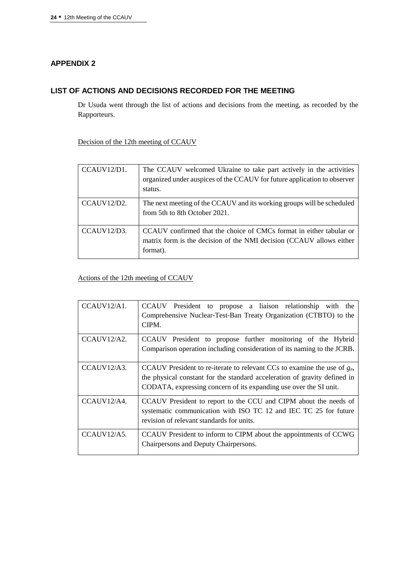# **APPENDIX 2**

## **LIST OF ACTIONS AND DECISIONS RECORDED FOR THE MEETING**

Dr Usuda went through the list of actions and decisions from the meeting, as recorded by the Rapporteurs.

Decision of the 12th meeting of CCAUV

| CCAIIV12/D1. | The CCAUV welcomed Ukraine to take part actively in the activities<br>organized under auspices of the CCAUV for future application to observer<br>status. |
|--------------|-----------------------------------------------------------------------------------------------------------------------------------------------------------|
| CCAIIV12/D2. | The next meeting of the CCAUV and its working groups will be scheduled<br>from 5th to 8th October 2021.                                                   |
| CCAIIV12/D3. | CCAUV confirmed that the choice of CMCs format in either tabular or<br>matrix form is the decision of the NMI decision (CCAUV allows either<br>format).   |

## Actions of the 12th meeting of CCAUV

| CCAUV12/A1.  | CCAUV President to propose a liaison relationship with the<br>Comprehensive Nuclear-Test-Ban Treaty Organization (CTBTO) to the<br>CIPM.                                                                                      |
|--------------|-------------------------------------------------------------------------------------------------------------------------------------------------------------------------------------------------------------------------------|
| CCAUV12/A2.  | CCAUV President to propose further monitoring of the Hybrid<br>Comparison operation including consideration of its naming to the JCRB.                                                                                        |
| CCAIIV12/A3. | CCAUV President to re-iterate to relevant CCs to examine the use of $g_n$ ,<br>the physical constant for the standard acceleration of gravity defined in<br>CODATA, expressing concern of its expanding use over the SI unit. |
| CCAUV12/A4.  | CCAUV President to report to the CCU and CIPM about the needs of<br>systematic communication with ISO TC 12 and IEC TC 25 for future<br>revision of relevant standards for units.                                             |
| CCAUV12/A5.  | CCAUV President to inform to CIPM about the appointments of CCWG<br>Chairpersons and Deputy Chairpersons.                                                                                                                     |